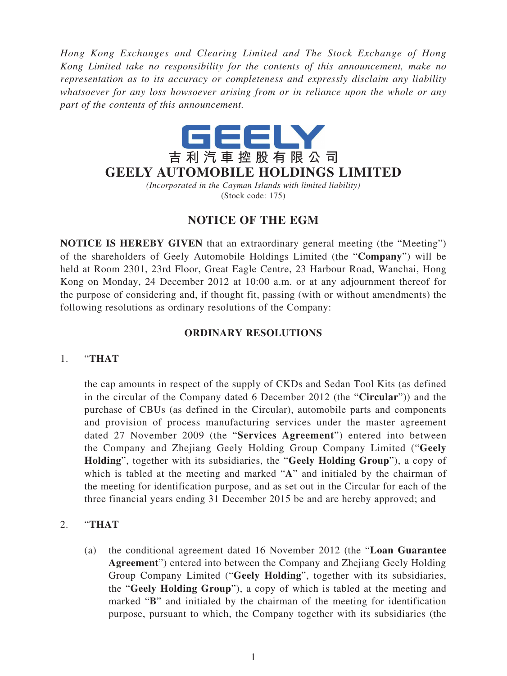*Hong Kong Exchanges and Clearing Limited and The Stock Exchange of Hong Kong Limited take no responsibility for the contents of this announcement, make no representation as to its accuracy or completeness and expressly disclaim any liability whatsoever for any loss howsoever arising from or in reliance upon the whole or any part of the contents of this announcement.*



*(Incorporated in the Cayman Islands with limited liability)* (Stock code: 175)

## **NOTICE OF THE EGM**

**NOTICE IS HEREBY GIVEN** that an extraordinary general meeting (the "Meeting") of the shareholders of Geely Automobile Holdings Limited (the "**Company**") will be held at Room 2301, 23rd Floor, Great Eagle Centre, 23 Harbour Road, Wanchai, Hong Kong on Monday, 24 December 2012 at 10:00 a.m. or at any adjournment thereof for the purpose of considering and, if thought fit, passing (with or without amendments) the following resolutions as ordinary resolutions of the Company:

## **ORDINARY RESOLUTIONS**

## 1. "**THAT**

the cap amounts in respect of the supply of CKDs and Sedan Tool Kits (as defined in the circular of the Company dated 6 December 2012 (the "**Circular**")) and the purchase of CBUs (as defined in the Circular), automobile parts and components and provision of process manufacturing services under the master agreement dated 27 November 2009 (the "**Services Agreement**") entered into between the Company and Zhejiang Geely Holding Group Company Limited ("**Geely Holding**", together with its subsidiaries, the "**Geely Holding Group**"), a copy of which is tabled at the meeting and marked "**A**" and initialed by the chairman of the meeting for identification purpose, and as set out in the Circular for each of the three financial years ending 31 December 2015 be and are hereby approved; and

## 2. "**THAT**

(a) the conditional agreement dated 16 November 2012 (the "**Loan Guarantee Agreement**") entered into between the Company and Zhejiang Geely Holding Group Company Limited ("**Geely Holding**", together with its subsidiaries, the "**Geely Holding Group**"), a copy of which is tabled at the meeting and marked "**B**" and initialed by the chairman of the meeting for identification purpose, pursuant to which, the Company together with its subsidiaries (the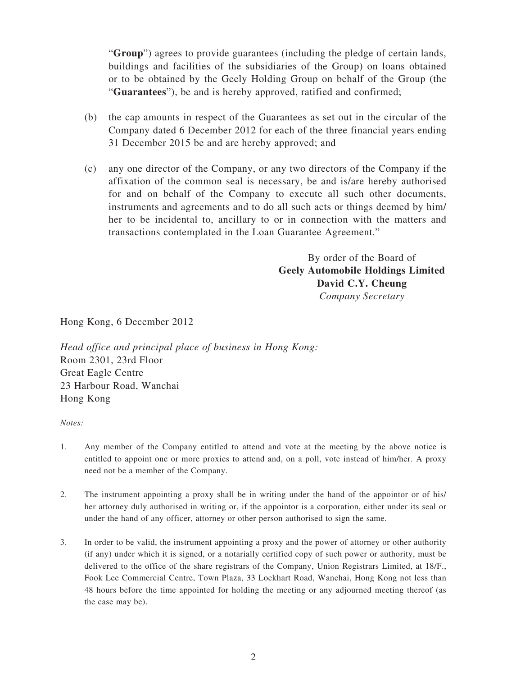"**Group**") agrees to provide guarantees (including the pledge of certain lands, buildings and facilities of the subsidiaries of the Group) on loans obtained or to be obtained by the Geely Holding Group on behalf of the Group (the "**Guarantees**"), be and is hereby approved, ratified and confirmed;

- (b) the cap amounts in respect of the Guarantees as set out in the circular of the Company dated 6 December 2012 for each of the three financial years ending 31 December 2015 be and are hereby approved; and
- (c) any one director of the Company, or any two directors of the Company if the affixation of the common seal is necessary, be and is/are hereby authorised for and on behalf of the Company to execute all such other documents, instruments and agreements and to do all such acts or things deemed by him/ her to be incidental to, ancillary to or in connection with the matters and transactions contemplated in the Loan Guarantee Agreement."

By order of the Board of **Geely Automobile Holdings Limited David C.Y. Cheung** *Company Secretary*

Hong Kong, 6 December 2012

*Head office and principal place of business in Hong Kong:* Room 2301, 23rd Floor Great Eagle Centre 23 Harbour Road, Wanchai Hong Kong

*Notes:*

- 1. Any member of the Company entitled to attend and vote at the meeting by the above notice is entitled to appoint one or more proxies to attend and, on a poll, vote instead of him/her. A proxy need not be a member of the Company.
- 2. The instrument appointing a proxy shall be in writing under the hand of the appointor or of his/ her attorney duly authorised in writing or, if the appointor is a corporation, either under its seal or under the hand of any officer, attorney or other person authorised to sign the same.
- 3. In order to be valid, the instrument appointing a proxy and the power of attorney or other authority (if any) under which it is signed, or a notarially certified copy of such power or authority, must be delivered to the office of the share registrars of the Company, Union Registrars Limited, at 18/F., Fook Lee Commercial Centre, Town Plaza, 33 Lockhart Road, Wanchai, Hong Kong not less than 48 hours before the time appointed for holding the meeting or any adjourned meeting thereof (as the case may be).